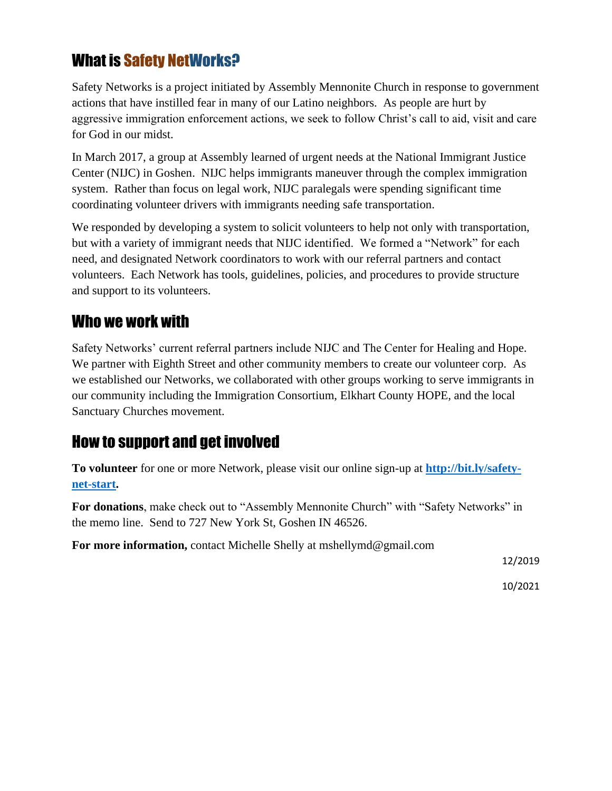## What is Safety NetWorks?

Safety Networks is a project initiated by Assembly Mennonite Church in response to government actions that have instilled fear in many of our Latino neighbors. As people are hurt by aggressive immigration enforcement actions, we seek to follow Christ's call to aid, visit and care for God in our midst.

In March 2017, a group at Assembly learned of urgent needs at the National Immigrant Justice Center (NIJC) in Goshen. NIJC helps immigrants maneuver through the complex immigration system. Rather than focus on legal work, NIJC paralegals were spending significant time coordinating volunteer drivers with immigrants needing safe transportation.

We responded by developing a system to solicit volunteers to help not only with transportation, but with a variety of immigrant needs that NIJC identified. We formed a "Network" for each need, and designated Network coordinators to work with our referral partners and contact volunteers. Each Network has tools, guidelines, policies, and procedures to provide structure and support to its volunteers.

## Who we work with

Safety Networks' current referral partners include NIJC and The Center for Healing and Hope. We partner with Eighth Street and other community members to create our volunteer corp. As we established our Networks, we collaborated with other groups working to serve immigrants in our community including the Immigration Consortium, Elkhart County HOPE, and the local Sanctuary Churches movement.

## How to support and get involved

**To volunteer** for one or more Network, please visit our online sign-up at **[http://bit.ly/safety](http://bit.ly/safety-net-start)[net-start.](http://bit.ly/safety-net-start)**

**For donations**, make check out to "Assembly Mennonite Church" with "Safety Networks" in the memo line. Send to 727 New York St, Goshen IN 46526.

**For more information,** contact Michelle Shelly at mshellymd@gmail.com

12/2019

10/2021